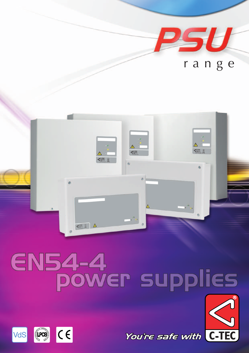

# **EN54-4** ower supplies





You're safe with C-TEC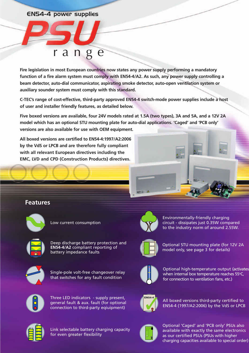#### **EN54-4 power supplies**

## range

**Fire legislation in most European countries now states any power supply performing a mandatory function of a fire alarm system must comply with EN54-4/A2. As such, any power supply controlling a beam detector, auto-dial communicator, aspirating smoke detector, auto-open ventilation system or auxiliary sounder system must comply with this standard.** 

**C-TEC's range of cost-effective, third-party approved EN54-4 switch-mode power supplies include a host of user and installer friendly features, as detailed below.** 

**Five boxed versions are available, four 24V models rated at 1.5A (two types), 3A and 5A, and a 12V 2A model which has an optional STU mounting plate for auto-dial applications. 'Caged' and 'PCB only' versions are also available for use with OEM equipment.**

**All boxed versions are certified to EN54-4:1997/A2:2006 by the VdS or LPCB and are therefore fully compliant with all relevant European directives including the EMC, LVD and CPD (Construction Products) directives.**

#### **Features**



Low current consumption



Deep discharge battery protection and **EN54-4/A2** compliant reporting of battery impedance faults



Single-pole volt-free changeover relay that switches for any fault condition



Three LED indicators - supply present, general fault & aux. fault (for optional connection to third-party eqiuipment)



Environmentally-friendly charging circuit - dissipates just 0.35W compared to the industry norm of around 2.55W.



Optional STU mounting plate (for 12V 2A model only, see page 3 for details)



Optional high-temperature output (activates when internal box temperature reaches 55°C, for connection to ventilation fans, etc.)



All boxed versions third-party certified to EN54-4 (1997/A2:2006) by the VdS or LPCB



Link selectable battery charging capacity for even greater flexibility



Optional 'Caged' and 'PCB only' PSUs also available with exactly the same electronics as our certified PSUs (PSUs with higher charging capacities available to special order)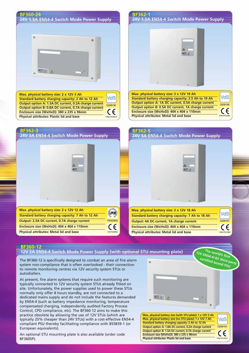| 24V 1.5A EN54-4 Switch Mode Power Supply<br>24V 1.5A EN54-4 Switch Mode Power Supply<br>$\begin{picture}(120,15) \put(0,0){\line(1,0){15}} \put(15,0){\line(1,0){15}} \put(15,0){\line(1,0){15}} \put(15,0){\line(1,0){15}} \put(15,0){\line(1,0){15}} \put(15,0){\line(1,0){15}} \put(15,0){\line(1,0){15}} \put(15,0){\line(1,0){15}} \put(15,0){\line(1,0){15}} \put(15,0){\line(1,0){15}} \put(15,0){\line(1,0){15}} \put(15,0){\line($<br>Max. physical battery size: 2 x 12V 19 Ah<br>Max. physical battery size: 2 x 12V 3 Ah<br>VdS<br><b>VdS</b><br>Standard battery charging capacity: 2.5 Ah to 19 Ah<br>Standard battery charging capacity: 2 Ah to 12 Ah<br>Output option A: 1A DC current, 0.5A charge current<br>Output option A: 1.3A DC current, 0.2A charge current<br>G209196<br>G208156<br>Output option B: 0.5A DC current, 1A charge current<br>Output option B: 0.8A DC current, 0.7A charge current<br>CE<br>CE<br>Enclosure size (WxHxD): 404 x 404 x 110mm<br>Enclosure size (WxHxD): 380 x 235 x 96mm<br>Physical attributes: Metal lid and base<br>0786-CPD-20891<br>Physical attributes: Plastic lid and base<br>0786 CPD-20672<br><b>BF362-3</b><br>BF362-5<br>24V 3A EN54-4 Switch Mode Power Supply<br>24V 5A EN54-4 Switch Mode Power Supply<br>Max. physical battery size: 2 x 12V 12 Ah<br>Max. physical battery size: 2 x 12V 18 Ah<br>(LPCB)<br><b>VdS</b><br>Standard battery charging capacity: 7 Ah to 12 Ah<br>Standard battery charging capacity: 7 Ah to 18 Ah<br><b>PENDING</b><br>Output: 2.3A DC current, 0.7A charge current<br>Output: 4A DC current, 1A charge current<br>G209197<br>Enclosure size (WxHxD): 404 x 404 x 110mm<br>$\epsilon$<br>Enclosure size (WxHxD): 404 x 404 x 110mm<br><b>Physical attributes: Metal lid and base</b><br><b>Physical attributes: Metal lid and base</b><br>CPD PENDING<br>0786-CPD-20892 | <b>BF360-24</b> | BF362-1 |
|---------------------------------------------------------------------------------------------------------------------------------------------------------------------------------------------------------------------------------------------------------------------------------------------------------------------------------------------------------------------------------------------------------------------------------------------------------------------------------------------------------------------------------------------------------------------------------------------------------------------------------------------------------------------------------------------------------------------------------------------------------------------------------------------------------------------------------------------------------------------------------------------------------------------------------------------------------------------------------------------------------------------------------------------------------------------------------------------------------------------------------------------------------------------------------------------------------------------------------------------------------------------------------------------------------------------------------------------------------------------------------------------------------------------------------------------------------------------------------------------------------------------------------------------------------------------------------------------------------------------------------------------------------------------------------------------------------------------------------------------------------------------------------------------------------------------------------------------------------------------------------|-----------------|---------|
|                                                                                                                                                                                                                                                                                                                                                                                                                                                                                                                                                                                                                                                                                                                                                                                                                                                                                                                                                                                                                                                                                                                                                                                                                                                                                                                                                                                                                                                                                                                                                                                                                                                                                                                                                                                                                                                                                 |                 |         |
|                                                                                                                                                                                                                                                                                                                                                                                                                                                                                                                                                                                                                                                                                                                                                                                                                                                                                                                                                                                                                                                                                                                                                                                                                                                                                                                                                                                                                                                                                                                                                                                                                                                                                                                                                                                                                                                                                 |                 |         |
|                                                                                                                                                                                                                                                                                                                                                                                                                                                                                                                                                                                                                                                                                                                                                                                                                                                                                                                                                                                                                                                                                                                                                                                                                                                                                                                                                                                                                                                                                                                                                                                                                                                                                                                                                                                                                                                                                 |                 |         |
|                                                                                                                                                                                                                                                                                                                                                                                                                                                                                                                                                                                                                                                                                                                                                                                                                                                                                                                                                                                                                                                                                                                                                                                                                                                                                                                                                                                                                                                                                                                                                                                                                                                                                                                                                                                                                                                                                 |                 |         |
|                                                                                                                                                                                                                                                                                                                                                                                                                                                                                                                                                                                                                                                                                                                                                                                                                                                                                                                                                                                                                                                                                                                                                                                                                                                                                                                                                                                                                                                                                                                                                                                                                                                                                                                                                                                                                                                                                 |                 |         |
|                                                                                                                                                                                                                                                                                                                                                                                                                                                                                                                                                                                                                                                                                                                                                                                                                                                                                                                                                                                                                                                                                                                                                                                                                                                                                                                                                                                                                                                                                                                                                                                                                                                                                                                                                                                                                                                                                 |                 |         |
|                                                                                                                                                                                                                                                                                                                                                                                                                                                                                                                                                                                                                                                                                                                                                                                                                                                                                                                                                                                                                                                                                                                                                                                                                                                                                                                                                                                                                                                                                                                                                                                                                                                                                                                                                                                                                                                                                 |                 |         |
|                                                                                                                                                                                                                                                                                                                                                                                                                                                                                                                                                                                                                                                                                                                                                                                                                                                                                                                                                                                                                                                                                                                                                                                                                                                                                                                                                                                                                                                                                                                                                                                                                                                                                                                                                                                                                                                                                 |                 |         |
|                                                                                                                                                                                                                                                                                                                                                                                                                                                                                                                                                                                                                                                                                                                                                                                                                                                                                                                                                                                                                                                                                                                                                                                                                                                                                                                                                                                                                                                                                                                                                                                                                                                                                                                                                                                                                                                                                 |                 |         |
|                                                                                                                                                                                                                                                                                                                                                                                                                                                                                                                                                                                                                                                                                                                                                                                                                                                                                                                                                                                                                                                                                                                                                                                                                                                                                                                                                                                                                                                                                                                                                                                                                                                                                                                                                                                                                                                                                 |                 |         |
|                                                                                                                                                                                                                                                                                                                                                                                                                                                                                                                                                                                                                                                                                                                                                                                                                                                                                                                                                                                                                                                                                                                                                                                                                                                                                                                                                                                                                                                                                                                                                                                                                                                                                                                                                                                                                                                                                 |                 |         |
|                                                                                                                                                                                                                                                                                                                                                                                                                                                                                                                                                                                                                                                                                                                                                                                                                                                                                                                                                                                                                                                                                                                                                                                                                                                                                                                                                                                                                                                                                                                                                                                                                                                                                                                                                                                                                                                                                 |                 |         |
|                                                                                                                                                                                                                                                                                                                                                                                                                                                                                                                                                                                                                                                                                                                                                                                                                                                                                                                                                                                                                                                                                                                                                                                                                                                                                                                                                                                                                                                                                                                                                                                                                                                                                                                                                                                                                                                                                 |                 |         |
|                                                                                                                                                                                                                                                                                                                                                                                                                                                                                                                                                                                                                                                                                                                                                                                                                                                                                                                                                                                                                                                                                                                                                                                                                                                                                                                                                                                                                                                                                                                                                                                                                                                                                                                                                                                                                                                                                 |                 |         |
|                                                                                                                                                                                                                                                                                                                                                                                                                                                                                                                                                                                                                                                                                                                                                                                                                                                                                                                                                                                                                                                                                                                                                                                                                                                                                                                                                                                                                                                                                                                                                                                                                                                                                                                                                                                                                                                                                 |                 |         |
|                                                                                                                                                                                                                                                                                                                                                                                                                                                                                                                                                                                                                                                                                                                                                                                                                                                                                                                                                                                                                                                                                                                                                                                                                                                                                                                                                                                                                                                                                                                                                                                                                                                                                                                                                                                                                                                                                 |                 |         |
|                                                                                                                                                                                                                                                                                                                                                                                                                                                                                                                                                                                                                                                                                                                                                                                                                                                                                                                                                                                                                                                                                                                                                                                                                                                                                                                                                                                                                                                                                                                                                                                                                                                                                                                                                                                                                                                                                 |                 |         |
|                                                                                                                                                                                                                                                                                                                                                                                                                                                                                                                                                                                                                                                                                                                                                                                                                                                                                                                                                                                                                                                                                                                                                                                                                                                                                                                                                                                                                                                                                                                                                                                                                                                                                                                                                                                                                                                                                 |                 |         |
|                                                                                                                                                                                                                                                                                                                                                                                                                                                                                                                                                                                                                                                                                                                                                                                                                                                                                                                                                                                                                                                                                                                                                                                                                                                                                                                                                                                                                                                                                                                                                                                                                                                                                                                                                                                                                                                                                 |                 |         |
|                                                                                                                                                                                                                                                                                                                                                                                                                                                                                                                                                                                                                                                                                                                                                                                                                                                                                                                                                                                                                                                                                                                                                                                                                                                                                                                                                                                                                                                                                                                                                                                                                                                                                                                                                                                                                                                                                 |                 |         |
|                                                                                                                                                                                                                                                                                                                                                                                                                                                                                                                                                                                                                                                                                                                                                                                                                                                                                                                                                                                                                                                                                                                                                                                                                                                                                                                                                                                                                                                                                                                                                                                                                                                                                                                                                                                                                                                                                 |                 |         |
|                                                                                                                                                                                                                                                                                                                                                                                                                                                                                                                                                                                                                                                                                                                                                                                                                                                                                                                                                                                                                                                                                                                                                                                                                                                                                                                                                                                                                                                                                                                                                                                                                                                                                                                                                                                                                                                                                 |                 |         |
|                                                                                                                                                                                                                                                                                                                                                                                                                                                                                                                                                                                                                                                                                                                                                                                                                                                                                                                                                                                                                                                                                                                                                                                                                                                                                                                                                                                                                                                                                                                                                                                                                                                                                                                                                                                                                                                                                 |                 |         |
|                                                                                                                                                                                                                                                                                                                                                                                                                                                                                                                                                                                                                                                                                                                                                                                                                                                                                                                                                                                                                                                                                                                                                                                                                                                                                                                                                                                                                                                                                                                                                                                                                                                                                                                                                                                                                                                                                 |                 |         |
|                                                                                                                                                                                                                                                                                                                                                                                                                                                                                                                                                                                                                                                                                                                                                                                                                                                                                                                                                                                                                                                                                                                                                                                                                                                                                                                                                                                                                                                                                                                                                                                                                                                                                                                                                                                                                                                                                 |                 |         |
|                                                                                                                                                                                                                                                                                                                                                                                                                                                                                                                                                                                                                                                                                                                                                                                                                                                                                                                                                                                                                                                                                                                                                                                                                                                                                                                                                                                                                                                                                                                                                                                                                                                                                                                                                                                                                                                                                 |                 |         |
|                                                                                                                                                                                                                                                                                                                                                                                                                                                                                                                                                                                                                                                                                                                                                                                                                                                                                                                                                                                                                                                                                                                                                                                                                                                                                                                                                                                                                                                                                                                                                                                                                                                                                                                                                                                                                                                                                 |                 |         |
|                                                                                                                                                                                                                                                                                                                                                                                                                                                                                                                                                                                                                                                                                                                                                                                                                                                                                                                                                                                                                                                                                                                                                                                                                                                                                                                                                                                                                                                                                                                                                                                                                                                                                                                                                                                                                                                                                 |                 |         |
|                                                                                                                                                                                                                                                                                                                                                                                                                                                                                                                                                                                                                                                                                                                                                                                                                                                                                                                                                                                                                                                                                                                                                                                                                                                                                                                                                                                                                                                                                                                                                                                                                                                                                                                                                                                                                                                                                 |                 |         |
|                                                                                                                                                                                                                                                                                                                                                                                                                                                                                                                                                                                                                                                                                                                                                                                                                                                                                                                                                                                                                                                                                                                                                                                                                                                                                                                                                                                                                                                                                                                                                                                                                                                                                                                                                                                                                                                                                 |                 |         |
|                                                                                                                                                                                                                                                                                                                                                                                                                                                                                                                                                                                                                                                                                                                                                                                                                                                                                                                                                                                                                                                                                                                                                                                                                                                                                                                                                                                                                                                                                                                                                                                                                                                                                                                                                                                                                                                                                 |                 |         |
|                                                                                                                                                                                                                                                                                                                                                                                                                                                                                                                                                                                                                                                                                                                                                                                                                                                                                                                                                                                                                                                                                                                                                                                                                                                                                                                                                                                                                                                                                                                                                                                                                                                                                                                                                                                                                                                                                 |                 |         |
|                                                                                                                                                                                                                                                                                                                                                                                                                                                                                                                                                                                                                                                                                                                                                                                                                                                                                                                                                                                                                                                                                                                                                                                                                                                                                                                                                                                                                                                                                                                                                                                                                                                                                                                                                                                                                                                                                 |                 |         |
|                                                                                                                                                                                                                                                                                                                                                                                                                                                                                                                                                                                                                                                                                                                                                                                                                                                                                                                                                                                                                                                                                                                                                                                                                                                                                                                                                                                                                                                                                                                                                                                                                                                                                                                                                                                                                                                                                 |                 |         |

#### **12V 2A EN54-4 Switch Mode Power Supply (with optional STU mounting plate) BF360-12**

The BF360-12 is specifically designed to combat an area of fire alarm system non-compliance that is often overlooked - their connection to remote monitoring centres via 12V security system STUs or autodiallers.

At present, fire alarm systems that require such monitoring are typically connected to 12V security system STUs already fitted on site. Unfortunately, the power supplies used to power these STUs normally only offer 8 hours standby, are not connected to a dedicated mains supply and do not include the features demanded by EN54-4 (such as battery impedance monitoring, temperature compensated charging, independently audited Factory Process Control, CPD compliance, etc). The BF360-12 aims to make this practice obsolete by allowing the use of 12V STUs (which are typically 25% cheaper than 24V STUs) with a cost-effective EN54-4 compliant PSU thereby facilitating compliance with BS5839-1 (or European equivalents).

An optional STU mounting plate is also available (order code BF360SP).